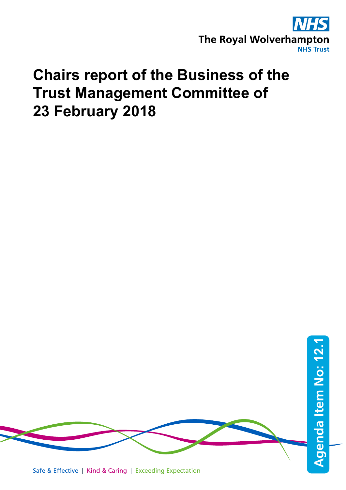

# **Chairs report of the Business of the Trust Management Committee of 23 February 2018**

Safe & Effective | Kind & Caring | Exceeding Expectation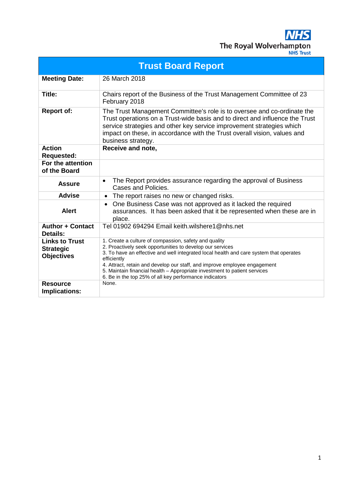**NHS** The Royal Wolverhampton

| <b>Trust Board Report</b>                                      |                                                                                                                                                                                                                                                                                                                                                                                                                                                 |  |
|----------------------------------------------------------------|-------------------------------------------------------------------------------------------------------------------------------------------------------------------------------------------------------------------------------------------------------------------------------------------------------------------------------------------------------------------------------------------------------------------------------------------------|--|
| <b>Meeting Date:</b>                                           | 26 March 2018                                                                                                                                                                                                                                                                                                                                                                                                                                   |  |
| Title:                                                         | Chairs report of the Business of the Trust Management Committee of 23<br>February 2018                                                                                                                                                                                                                                                                                                                                                          |  |
| <b>Report of:</b>                                              | The Trust Management Committee's role is to oversee and co-ordinate the<br>Trust operations on a Trust-wide basis and to direct and influence the Trust<br>service strategies and other key service improvement strategies which<br>impact on these, in accordance with the Trust overall vision, values and<br>business strategy.                                                                                                              |  |
| <b>Action</b><br><b>Requested:</b>                             | Receive and note,                                                                                                                                                                                                                                                                                                                                                                                                                               |  |
| For the attention<br>of the Board                              |                                                                                                                                                                                                                                                                                                                                                                                                                                                 |  |
| <b>Assure</b>                                                  | The Report provides assurance regarding the approval of Business<br>$\bullet$<br>Cases and Policies.                                                                                                                                                                                                                                                                                                                                            |  |
| <b>Advise</b>                                                  | The report raises no new or changed risks.<br>$\bullet$                                                                                                                                                                                                                                                                                                                                                                                         |  |
| <b>Alert</b>                                                   | One Business Case was not approved as it lacked the required<br>assurances. It has been asked that it be represented when these are in<br>place.                                                                                                                                                                                                                                                                                                |  |
| <b>Author + Contact</b><br>Details:                            | Tel 01902 694294 Email keith.wilshere1@nhs.net                                                                                                                                                                                                                                                                                                                                                                                                  |  |
| <b>Links to Trust</b><br><b>Strategic</b><br><b>Objectives</b> | 1. Create a culture of compassion, safety and quality<br>2. Proactively seek opportunities to develop our services<br>3. To have an effective and well integrated local health and care system that operates<br>efficiently<br>4. Attract, retain and develop our staff, and improve employee engagement<br>5. Maintain financial health - Appropriate investment to patient services<br>6. Be in the top 25% of all key performance indicators |  |
| <b>Resource</b><br>Implications:                               | None.                                                                                                                                                                                                                                                                                                                                                                                                                                           |  |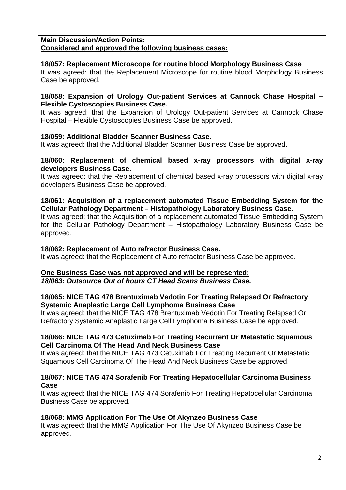# **Main Discussion/Action Points:**

# **Considered and approved the following business cases:**

# **18/057: Replacement Microscope for routine blood Morphology Business Case**

It was agreed: that the Replacement Microscope for routine blood Morphology Business Case be approved.

# **18/058: Expansion of Urology Out-patient Services at Cannock Chase Hospital – Flexible Cystoscopies Business Case.**

It was agreed: that the Expansion of Urology Out-patient Services at Cannock Chase Hospital – Flexible Cystoscopies Business Case be approved.

# **18/059: Additional Bladder Scanner Business Case.**

It was agreed: that the Additional Bladder Scanner Business Case be approved.

# **18/060: Replacement of chemical based x-ray processors with digital x-ray developers Business Case.**

It was agreed: that the Replacement of chemical based x-ray processors with digital x-ray developers Business Case be approved.

# **18/061: Acquisition of a replacement automated Tissue Embedding System for the Cellular Pathology Department – Histopathology Laboratory Business Case.**

It was agreed: that the Acquisition of a replacement automated Tissue Embedding System for the Cellular Pathology Department – Histopathology Laboratory Business Case be approved.

# **18/062: Replacement of Auto refractor Business Case.**

It was agreed: that the Replacement of Auto refractor Business Case be approved.

# **One Business Case was not approved and will be represented:**

*18/063: Outsource Out of hours CT Head Scans Business Case.*

# **18/065: NICE TAG 478 Brentuximab Vedotin For Treating Relapsed Or Refractory Systemic Anaplastic Large Cell Lymphoma Business Case**

It was agreed: that the NICE TAG 478 Brentuximab Vedotin For Treating Relapsed Or Refractory Systemic Anaplastic Large Cell Lymphoma Business Case be approved.

# **18/066: NICE TAG 473 Cetuximab For Treating Recurrent Or Metastatic Squamous Cell Carcinoma Of The Head And Neck Business Case**

It was agreed: that the NICE TAG 473 Cetuximab For Treating Recurrent Or Metastatic Squamous Cell Carcinoma Of The Head And Neck Business Case be approved.

# **18/067: NICE TAG 474 Sorafenib For Treating Hepatocellular Carcinoma Business Case**

It was agreed: that the NICE TAG 474 Sorafenib For Treating Hepatocellular Carcinoma Business Case be approved.

# **18/068: MMG Application For The Use Of Akynzeo Business Case**

It was agreed: that the MMG Application For The Use Of Akynzeo Business Case be approved.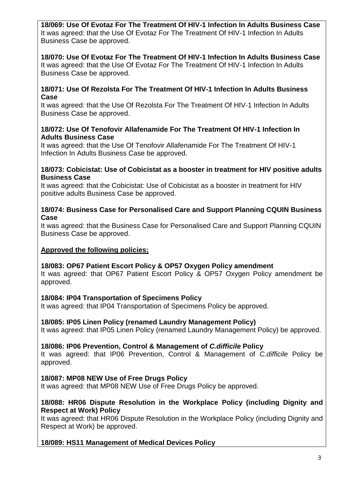**18/069: Use Of Evotaz For The Treatment Of HIV-1 Infection In Adults Business Case** It was agreed: that the Use Of Evotaz For The Treatment Of HIV-1 Infection In Adults Business Case be approved.

# **18/070: Use Of Evotaz For The Treatment Of HIV-1 Infection In Adults Business Case**

It was agreed: that the Use Of Evotaz For The Treatment Of HIV-1 Infection In Adults Business Case be approved.

# **18/071: Use Of Rezolsta For The Treatment Of HIV-1 Infection In Adults Business Case**

It was agreed: that the Use Of Rezolsta For The Treatment Of HIV-1 Infection In Adults Business Case be approved.

# **18/072: Use Of Tenofovir Allafenamide For The Treatment Of HIV-1 Infection In Adults Business Case**

It was agreed: that the Use Of Tenofovir Allafenamide For The Treatment Of HIV-1 Infection In Adults Business Case be approved.

# **18/073: Cobicistat: Use of Cobicistat as a booster in treatment for HIV positive adults Business Case**

It was agreed: that the Cobicistat: Use of Cobicistat as a booster in treatment for HIV positive adults Business Case be approved.

# **18/074: Business Case for Personalised Care and Support Planning CQUIN Business Case**

It was agreed: that the Business Case for Personalised Care and Support Planning CQUIN Business Case be approved.

# **Approved the following policies;**

# **18/083: OP67 Patient Escort Policy & OP57 Oxygen Policy amendment**

It was agreed: that OP67 Patient Escort Policy & OP57 Oxygen Policy amendment be approved.

# **18/084: IP04 Transportation of Specimens Policy**

It was agreed: that IP04 Transportation of Specimens Policy be approved.

# **18/085: IP05 Linen Policy (renamed Laundry Management Policy)**

It was agreed: that IP05 Linen Policy (renamed Laundry Management Policy) be approved.

# **18/086: IP06 Prevention, Control & Management of** *C.difficile* **Policy**

It was agreed: that IP06 Prevention, Control & Management of *C.difficile* Policy be approved.

# **18/087: MP08 NEW Use of Free Drugs Policy**

It was agreed: that MP08 NEW Use of Free Drugs Policy be approved.

# **18/088: HR06 Dispute Resolution in the Workplace Policy (including Dignity and Respect at Work) Policy**

It was agreed: that HR06 Dispute Resolution in the Workplace Policy (including Dignity and Respect at Work) be approved.

# **18/089: HS11 Management of Medical Devices Policy**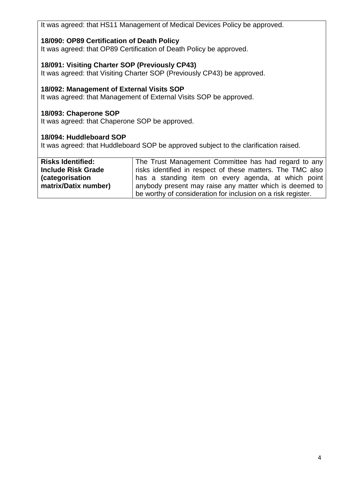It was agreed: that HS11 Management of Medical Devices Policy be approved.

# **18/090: OP89 Certification of Death Policy**

It was agreed: that OP89 Certification of Death Policy be approved.

# **18/091: Visiting Charter SOP (Previously CP43)**

It was agreed: that Visiting Charter SOP (Previously CP43) be approved.

# **18/092: Management of External Visits SOP**

It was agreed: that Management of External Visits SOP be approved.

# **18/093: Chaperone SOP**

It was agreed: that Chaperone SOP be approved.

# **18/094: Huddleboard SOP**

It was agreed: that Huddleboard SOP be approved subject to the clarification raised.

| <b>Risks Identified:</b>  | The Trust Management Committee has had regard to any         |
|---------------------------|--------------------------------------------------------------|
| <b>Include Risk Grade</b> | risks identified in respect of these matters. The TMC also   |
| (categorisation           | has a standing item on every agenda, at which point          |
| matrix/Datix number)      | anybody present may raise any matter which is deemed to      |
|                           | be worthy of consideration for inclusion on a risk register. |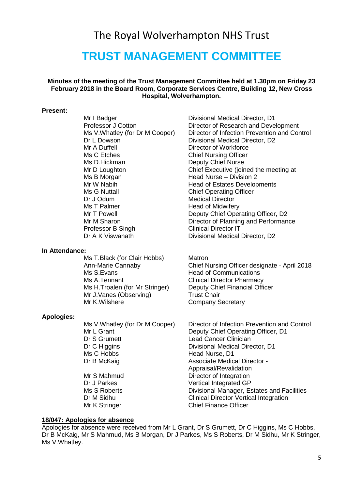# The Royal Wolverhampton NHS Trust

# **TRUST MANAGEMENT COMMITTEE**

# **Minutes of the meeting of the Trust Management Committee held at 1.30pm on Friday 23 February 2018 in the Board Room, Corporate Services Centre, Building 12, New Cross Hospital, Wolverhampton.**

#### **Present:**

Ms C Etches Chief Nursing Officer Ms D.Hickman Deputy Chief Nurse Ms B Morgan **Head Nurse** – Division 2 Ms G Nuttall Chief Operating Officer Dr J Odum<br>
Ms T Palmer<br>
Ms T Palmer<br>
Mead of Midwifer Ms T Palmer **Head of Midwifery**<br>
Mr T Powell **Head of Midwifery** Professor B Singh Clinical Director IT

#### **In Attendance:**

Ms T.Black (for Clair Hobbs) Matron<br>Ann-Marie Cannaby Matron Chief N Ms S.Evans **Head of Communications** Ms A.Tennant Clinical Director Pharmacy Mr J.Vanes (Observing) Trust Chair<br>
Mr K.Wilshere Company S

#### **Apologies:**

Dr S Grumett Lead Cancer Clinician Dr C Higgins Divisional Medical Director, D1<br>Ms C Hobbs Head Nurse, D1 Dr B McKaig **Associate Medical Director -** Associate Medical Director -Mr S Mahmud **Director of Integration** 

Mr I Badger **Divisional Medical Director**, D1 Professor J Cotton Director of Research and Development Ms V. Whatley (for Dr M Cooper) Director of Infection Prevention and Control Dr L Dowson Divisional Medical Director, D2<br>Mr A Duffell Director of Workforce Director of Workforce Mr D Loughton Chief Executive (joined the meeting at Mr W Nabih **Head of Estates Developments** Deputy Chief Operating Officer, D2 Mr M Sharon **Director of Planning and Performance** Dr A K Viswanath Divisional Medical Director, D2

Chief Nursing Officer designate - April 2018 Ms H.Troalen (for Mr Stringer) Deputy Chief Financial Officer Company Secretary

Ms V.Whatley (for Dr M Cooper) Director of Infection Prevention and Control Mr L Grant **Deputy Chief Operating Officer, D1** Head Nurse, D1 Appraisal/Revalidation Dr J Parkes Vertical Integrated GP Ms S Roberts **Divisional Manager, Estates and Facilities**<br>Dr M Sidhu **Divisional Director Vertical Integration** Clinical Director Vertical Integration Mr K Stringer Chief Finance Officer

#### **18/047: Apologies for absence**

Apologies for absence were received from Mr L Grant, Dr S Grumett, Dr C Higgins, Ms C Hobbs, Dr B McKaig, Mr S Mahmud, Ms B Morgan, Dr J Parkes, Ms S Roberts, Dr M Sidhu, Mr K Stringer, Ms V.Whatley.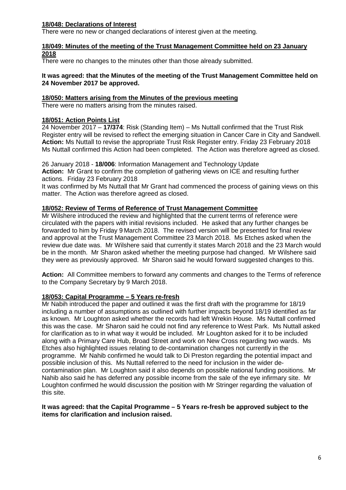# **18/048: Declarations of Interest**

There were no new or changed declarations of interest given at the meeting.

#### **18/049: Minutes of the meeting of the Trust Management Committee held on 23 January 2018**

There were no changes to the minutes other than those already submitted.

#### **It was agreed: that the Minutes of the meeting of the Trust Management Committee held on 24 November 2017 be approved.**

#### **18/050: Matters arising from the Minutes of the previous meeting**

There were no matters arising from the minutes raised.

#### **18/051: Action Points List**

24 November 2017 – **17/374**: Risk (Standing Item) – Ms Nuttall confirmed that the Trust Risk Register entry will be revised to reflect the emerging situation in Cancer Care in City and Sandwell. **Action:** Ms Nuttall to revise the appropriate Trust Risk Register entry. Friday 23 February 2018 Ms Nuttall confirmed this Action had been completed. The Action was therefore agreed as closed.

26 January 2018 - **18/006**: Information Management and Technology Update **Action:** Mr Grant to confirm the completion of gathering views on ICE and resulting further actions. Friday 23 February 2018

It was confirmed by Ms Nuttall that Mr Grant had commenced the process of gaining views on this matter. The Action was therefore agreed as closed.

#### **18/052: Review of Terms of Reference of Trust Management Committee**

Mr Wilshere introduced the review and highlighted that the current terms of reference were circulated with the papers with initial revisions included. He asked that any further changes be forwarded to him by Friday 9 March 2018. The revised version will be presented for final review and approval at the Trust Management Committee 23 March 2018. Ms Etches asked when the review due date was. Mr Wilshere said that currently it states March 2018 and the 23 March would be in the month. Mr Sharon asked whether the meeting purpose had changed. Mr Wilshere said they were as previously approved. Mr Sharon said he would forward suggested changes to this.

**Action:** All Committee members to forward any comments and changes to the Terms of reference to the Company Secretary by 9 March 2018.

# **18/053: Capital Programme – 5 Years re-fresh**

Mr Nabih introduced the paper and outlined it was the first draft with the programme for 18/19 including a number of assumptions as outlined with further impacts beyond 18/19 identified as far as known. Mr Loughton asked whether the records had left Wrekin House. Ms Nuttall confirmed this was the case. Mr Sharon said he could not find any reference to West Park. Ms Nuttall asked for clarification as to in what way it would be included. Mr Loughton asked for it to be included along with a Primary Care Hub, Broad Street and work on New Cross regarding two wards. Ms Etches also highlighted issues relating to de-contamination changes not currently in the programme. Mr Nahib confirmed he would talk to Di Preston regarding the potential impact and possible inclusion of this. Ms Nuttall referred to the need for inclusion in the wider decontamination plan. Mr Loughton said it also depends on possible national funding positions. Mr Nahib also said he has deferred any possible income from the sale of the eye infirmary site. Mr Loughton confirmed he would discussion the position with Mr Stringer regarding the valuation of this site.

#### **It was agreed: that the Capital Programme – 5 Years re-fresh be approved subject to the items for clarification and inclusion raised.**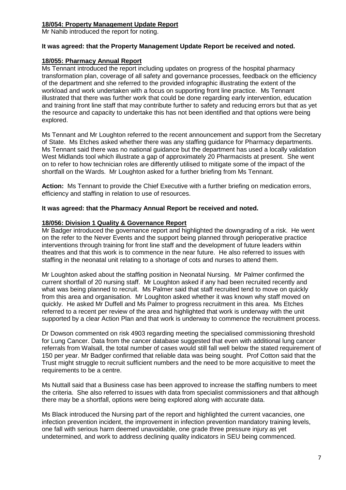# **18/054: Property Management Update Report**

Mr Nahib introduced the report for noting.

#### **It was agreed: that the Property Management Update Report be received and noted.**

# **18/055: Pharmacy Annual Report**

Ms Tennant introduced the report including updates on progress of the hospital pharmacy transformation plan, coverage of all safety and governance processes, feedback on the efficiency of the department and she referred to the provided infographic illustrating the extent of the workload and work undertaken with a focus on supporting front line practice. Ms Tennant illustrated that there was further work that could be done regarding early intervention, education and training front line staff that may contribute further to safety and reducing errors but that as yet the resource and capacity to undertake this has not been identified and that options were being explored.

Ms Tennant and Mr Loughton referred to the recent announcement and support from the Secretary of State. Ms Etches asked whether there was any staffing guidance for Pharmacy departments. Ms Tennant said there was no national guidance but the department has used a locally validation West Midlands tool which illustrate a gap of approximately 20 Pharmacists at present. She went on to refer to how technician roles are differently utilised to mitigate some of the impact of the shortfall on the Wards. Mr Loughton asked for a further briefing from Ms Tennant.

**Action:** Ms Tennant to provide the Chief Executive with a further briefing on medication errors, efficiency and staffing in relation to use of resources.

#### **It was agreed: that the Pharmacy Annual Report be received and noted.**

#### **18/056: Division 1 Quality & Governance Report**

Mr Badger introduced the governance report and highlighted the downgrading of a risk. He went on the refer to the Never Events and the support being planned through perioperative practice interventions through training for front line staff and the development of future leaders within theatres and that this work is to commence in the near future. He also referred to issues with staffing in the neonatal unit relating to a shortage of cots and nurses to attend them.

Mr Loughton asked about the staffing position in Neonatal Nursing. Mr Palmer confirmed the current shortfall of 20 nursing staff. Mr Loughton asked if any had been recruited recently and what was being planned to recruit. Ms Palmer said that staff recruited tend to move on quickly from this area and organisation. Mr Loughton asked whether it was known why staff moved on quickly. He asked Mr Duffell and Ms Palmer to progress recruitment in this area. Ms Etches referred to a recent per review of the area and highlighted that work is underway with the unit supported by a clear Action Plan and that work is underway to commence the recruitment process.

Dr Dowson commented on risk 4903 regarding meeting the specialised commissioning threshold for Lung Cancer. Data from the cancer database suggested that even with additional lung cancer referrals from Walsall, the total number of cases would still fall well below the stated requirement of 150 per year. Mr Badger confirmed that reliable data was being sought. Prof Cotton said that the Trust might struggle to recruit sufficient numbers and the need to be more acquisitive to meet the requirements to be a centre.

Ms Nuttall said that a Business case has been approved to increase the staffing numbers to meet the criteria. She also referred to issues with data from specialist commissioners and that although there may be a shortfall, options were being explored along with accurate data.

Ms Black introduced the Nursing part of the report and highlighted the current vacancies, one infection prevention incident, the improvement in infection prevention mandatory training levels, one fall with serious harm deemed unavoidable, one grade three pressure injury as yet undetermined, and work to address declining quality indicators in SEU being commenced.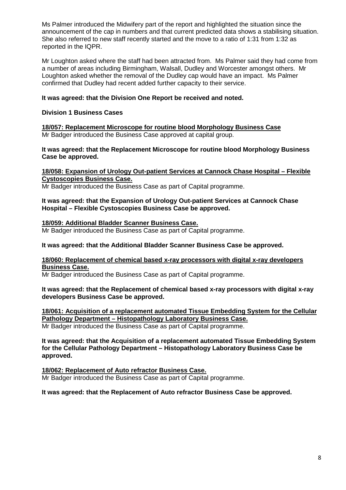Ms Palmer introduced the Midwifery part of the report and highlighted the situation since the announcement of the cap in numbers and that current predicted data shows a stabilising situation. She also referred to new staff recently started and the move to a ratio of 1:31 from 1:32 as reported in the IQPR.

Mr Loughton asked where the staff had been attracted from. Ms Palmer said they had come from a number of areas including Birmingham, Walsall, Dudley and Worcester amongst others. Mr Loughton asked whether the removal of the Dudley cap would have an impact. Ms Palmer confirmed that Dudley had recent added further capacity to their service.

# **It was agreed: that the Division One Report be received and noted.**

# **Division 1 Business Cases**

**18/057: Replacement Microscope for routine blood Morphology Business Case** Mr Badger introduced the Business Case approved at capital group.

**It was agreed: that the Replacement Microscope for routine blood Morphology Business Case be approved.**

# **18/058: Expansion of Urology Out-patient Services at Cannock Chase Hospital – Flexible Cystoscopies Business Case.**

Mr Badger introduced the Business Case as part of Capital programme.

#### **It was agreed: that the Expansion of Urology Out-patient Services at Cannock Chase Hospital – Flexible Cystoscopies Business Case be approved.**

#### **18/059: Additional Bladder Scanner Business Case.**

Mr Badger introduced the Business Case as part of Capital programme.

# **It was agreed: that the Additional Bladder Scanner Business Case be approved.**

#### **18/060: Replacement of chemical based x-ray processors with digital x-ray developers Business Case.**

Mr Badger introduced the Business Case as part of Capital programme.

#### **It was agreed: that the Replacement of chemical based x-ray processors with digital x-ray developers Business Case be approved.**

#### **18/061: Acquisition of a replacement automated Tissue Embedding System for the Cellular Pathology Department – Histopathology Laboratory Business Case.** Mr Badger introduced the Business Case as part of Capital programme.

**It was agreed: that the Acquisition of a replacement automated Tissue Embedding System for the Cellular Pathology Department – Histopathology Laboratory Business Case be approved.**

#### **18/062: Replacement of Auto refractor Business Case.** Mr Badger introduced the Business Case as part of Capital programme.

# **It was agreed: that the Replacement of Auto refractor Business Case be approved.**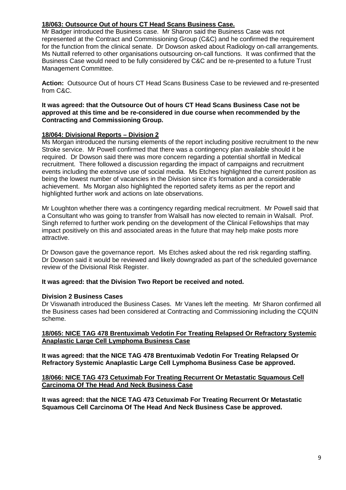# **18/063: Outsource Out of hours CT Head Scans Business Case.**

Mr Badger introduced the Business case. Mr Sharon said the Business Case was not represented at the Contract and Commissioning Group (C&C) and he confirmed the requirement for the function from the clinical senate. Dr Dowson asked about Radiology on-call arrangements. Ms Nuttall referred to other organisations outsourcing on-call functions. It was confirmed that the Business Case would need to be fully considered by C&C and be re-presented to a future Trust Management Committee.

**Action:** Outsource Out of hours CT Head Scans Business Case to be reviewed and re-presented from C&C.

#### **It was agreed: that the Outsource Out of hours CT Head Scans Business Case not be approved at this time and be re-considered in due course when recommended by the Contracting and Commissioning Group.**

# **18/064: Divisional Reports – Division 2**

Ms Morgan introduced the nursing elements of the report including positive recruitment to the new Stroke service. Mr Powell confirmed that there was a contingency plan available should it be required. Dr Dowson said there was more concern regarding a potential shortfall in Medical recruitment. There followed a discussion regarding the impact of campaigns and recruitment events including the extensive use of social media. Ms Etches highlighted the current position as being the lowest number of vacancies in the Division since it's formation and a considerable achievement. Ms Morgan also highlighted the reported safety items as per the report and highlighted further work and actions on late observations.

Mr Loughton whether there was a contingency regarding medical recruitment. Mr Powell said that a Consultant who was going to transfer from Walsall has now elected to remain in Walsall. Prof. Singh referred to further work pending on the development of the Clinical Fellowships that may impact positively on this and associated areas in the future that may help make posts more attractive.

Dr Dowson gave the governance report. Ms Etches asked about the red risk regarding staffing. Dr Dowson said it would be reviewed and likely downgraded as part of the scheduled governance review of the Divisional Risk Register.

# **It was agreed: that the Division Two Report be received and noted.**

# **Division 2 Business Cases**

Dr Viswanath introduced the Business Cases. Mr Vanes left the meeting. Mr Sharon confirmed all the Business cases had been considered at Contracting and Commissioning including the CQUIN scheme.

# **18/065: NICE TAG 478 Brentuximab Vedotin For Treating Relapsed Or Refractory Systemic Anaplastic Large Cell Lymphoma Business Case**

**It was agreed: that the NICE TAG 478 Brentuximab Vedotin For Treating Relapsed Or Refractory Systemic Anaplastic Large Cell Lymphoma Business Case be approved.**

# **18/066: NICE TAG 473 Cetuximab For Treating Recurrent Or Metastatic Squamous Cell Carcinoma Of The Head And Neck Business Case**

**It was agreed: that the NICE TAG 473 Cetuximab For Treating Recurrent Or Metastatic Squamous Cell Carcinoma Of The Head And Neck Business Case be approved.**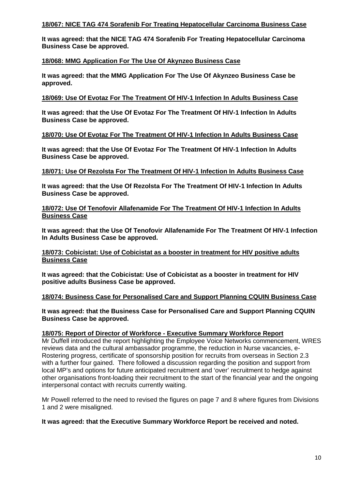# **18/067: NICE TAG 474 Sorafenib For Treating Hepatocellular Carcinoma Business Case**

**It was agreed: that the NICE TAG 474 Sorafenib For Treating Hepatocellular Carcinoma Business Case be approved.**

# **18/068: MMG Application For The Use Of Akynzeo Business Case**

**It was agreed: that the MMG Application For The Use Of Akynzeo Business Case be approved.**

#### **18/069: Use Of Evotaz For The Treatment Of HIV-1 Infection In Adults Business Case**

**It was agreed: that the Use Of Evotaz For The Treatment Of HIV-1 Infection In Adults Business Case be approved.**

# **18/070: Use Of Evotaz For The Treatment Of HIV-1 Infection In Adults Business Case**

**It was agreed: that the Use Of Evotaz For The Treatment Of HIV-1 Infection In Adults Business Case be approved.**

#### **18/071: Use Of Rezolsta For The Treatment Of HIV-1 Infection In Adults Business Case**

**It was agreed: that the Use Of Rezolsta For The Treatment Of HIV-1 Infection In Adults Business Case be approved.**

#### **18/072: Use Of Tenofovir Allafenamide For The Treatment Of HIV-1 Infection In Adults Business Case**

**It was agreed: that the Use Of Tenofovir Allafenamide For The Treatment Of HIV-1 Infection In Adults Business Case be approved.**

#### **18/073: Cobicistat: Use of Cobicistat as a booster in treatment for HIV positive adults Business Case**

**It was agreed: that the Cobicistat: Use of Cobicistat as a booster in treatment for HIV positive adults Business Case be approved.**

# **18/074: Business Case for Personalised Care and Support Planning CQUIN Business Case**

**It was agreed: that the Business Case for Personalised Care and Support Planning CQUIN Business Case be approved.**

# **18/075: Report of Director of Workforce - Executive Summary Workforce Report**

Mr Duffell introduced the report highlighting the Employee Voice Networks commencement, WRES reviews data and the cultural ambassador programme, the reduction in Nurse vacancies, e-Rostering progress, certificate of sponsorship position for recruits from overseas in Section 2.3 with a further four gained. There followed a discussion regarding the position and support from local MP's and options for future anticipated recruitment and 'over' recruitment to hedge against other organisations front-loading their recruitment to the start of the financial year and the ongoing interpersonal contact with recruits currently waiting.

Mr Powell referred to the need to revised the figures on page 7 and 8 where figures from Divisions 1 and 2 were misaligned.

#### **It was agreed: that the Executive Summary Workforce Report be received and noted.**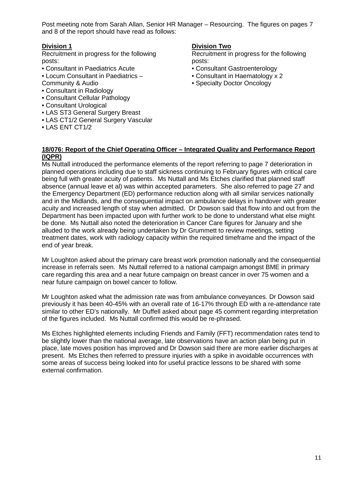Post meeting note from Sarah Allan, Senior HR Manager – Resourcing. The figures on pages 7 and 8 of the report should have read as follows:

# **Division 1**

Recruitment in progress for the following posts:

- Consultant in Paediatrics Acute
- Locum Consultant in Paediatrics –
- Community & Audio
- Consultant in Radiology
- Consultant Cellular Pathology
- Consultant Urological
- LAS ST3 General Surgery Breast
- LAS CT1/2 General Surgery Vascular
- LAS ENT CT1/2

#### **Division Two**

Recruitment in progress for the following posts:

- Consultant Gastroenterology
- Consultant in Haematology x 2
- Specialty Doctor Oncology

**18/076: Report of the Chief Operating Officer – Integrated Quality and Performance Report (IQPR)**

Ms Nuttall introduced the performance elements of the report referring to page 7 deterioration in planned operations including due to staff sickness continuing to February figures with critical care being full with greater acuity of patients. Ms Nuttall and Ms Etches clarified that planned staff absence (annual leave et al) was within accepted parameters. She also referred to page 27 and the Emergency Department (ED) performance reduction along with all similar services nationally and in the Midlands, and the consequential impact on ambulance delays in handover with greater acuity and increased length of stay when admitted. Dr Dowson said that flow into and out from the Department has been impacted upon with further work to be done to understand what else might be done. Ms Nuttall also noted the deterioration in Cancer Care figures for January and she alluded to the work already being undertaken by Dr Grummett to review meetings, setting treatment dates, work with radiology capacity within the required timeframe and the impact of the end of year break.

Mr Loughton asked about the primary care breast work promotion nationally and the consequential increase in referrals seen. Ms Nuttall referred to a national campaign amongst BME in primary care regarding this area and a near future campaign on breast cancer in over 75 women and a near future campaign on bowel cancer to follow.

Mr Loughton asked what the admission rate was from ambulance conveyances. Dr Dowson said previously it has been 40-45% with an overall rate of 16-17% through ED with a re-attendance rate similar to other ED's nationally. Mr Duffell asked about page 45 comment regarding interpretation of the figures included. Ms Nuttall confirmed this would be re-phrased.

Ms Etches highlighted elements including Friends and Family (FFT) recommendation rates tend to be slightly lower than the national average, late observations have an action plan being put in place, late moves position has improved and Dr Dowson said there are more earlier discharges at present. Ms Etches then referred to pressure injuries with a spike in avoidable occurrences with some areas of success being looked into for useful practice lessons to be shared with some external confirmation.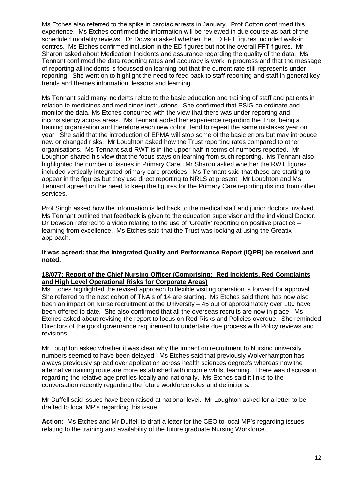Ms Etches also referred to the spike in cardiac arrests in January. Prof Cotton confirmed this experience. Ms Etches confirmed the information will be reviewed in due course as part of the scheduled mortality reviews. Dr Dowson asked whether the ED FFT figures included walk-in centres. Ms Etches confirmed inclusion in the ED figures but not the overall FFT figures. Mr Sharon asked about Medication Incidents and assurance regarding the quality of the data. Ms Tennant confirmed the data reporting rates and accuracy is work in progress and that the message of reporting all incidents is focussed on learning but that the current rate still represents underreporting. She went on to highlight the need to feed back to staff reporting and staff in general key trends and themes information, lessons and learning.

Ms Tennant said many incidents relate to the basic education and training of staff and patients in relation to medicines and medicines instructions. She confirmed that PSIG co-ordinate and monitor the data. Ms Etches concurred with the view that there was under-reporting and inconsistency across areas. Ms Tennant added her experience regarding the Trust being a training organisation and therefore each new cohort tend to repeat the same mistakes year on year, She said that the introduction of EPMA will stop some of the basic errors but may introduce new or changed risks. Mr Loughton asked how the Trust reporting rates compared to other organisations. Ms Tennant said RWT is in the upper half in terms of numbers reported. Mr Loughton shared his view that the focus stays on learning from such reporting. Ms Tennant also highlighted the number of issues in Primary Care. Mr Sharon asked whether the RWT figures included vertically integrated primary care practices. Ms Tennant said that these are starting to appear in the figures but they use direct reporting to NRLS at present. Mr Loughton and Ms Tennant agreed on the need to keep the figures for the Primary Care reporting distinct from other services.

Prof Singh asked how the information is fed back to the medical staff and junior doctors involved. Ms Tennant outlined that feedback is given to the education supervisor and the individual Doctor. Dr Dowson referred to a video relating to the use of 'Greatix' reporting on positive practice – learning from excellence. Ms Etches said that the Trust was looking at using the Greatix approach.

#### **It was agreed: that the Integrated Quality and Performance Report (IQPR) be received and noted.**

# **18/077: Report of the Chief Nursing Officer (Comprising: Red Incidents, Red Complaints and High Level Operational Risks for Corporate Areas)**

Ms Etches highlighted the revised approach to flexible visiting operation is forward for approval. She referred to the next cohort of TNA's of 14 are starting. Ms Etches said there has now also been an impact on Nurse recruitment at the University – 45 out of approximately over 100 have been offered to date. She also confirmed that all the overseas recruits are now in place. Ms Etches asked about revising the report to focus on Red Risks and Policies overdue. She reminded Directors of the good governance requirement to undertake due process with Policy reviews and revisions.

Mr Loughton asked whether it was clear why the impact on recruitment to Nursing university numbers seemed to have been delayed. Ms Etches said that previously Wolverhampton has always previously spread over application across health sciences degree's whereas now the alternative training route are more established with income whilst learning. There was discussion regarding the relative age profiles locally and nationally. Ms Etches said it links to the conversation recently regarding the future workforce roles and definitions.

Mr Duffell said issues have been raised at national level. Mr Loughton asked for a letter to be drafted to local MP's regarding this issue.

**Action:** Ms Etches and Mr Duffell to draft a letter for the CEO to local MP's regarding issues relating to the training and availability of the future graduate Nursing Workforce.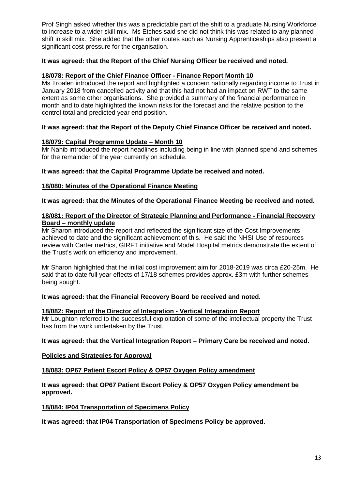Prof Singh asked whether this was a predictable part of the shift to a graduate Nursing Workforce to increase to a wider skill mix. Ms Etches said she did not think this was related to any planned shift in skill mix. She added that the other routes such as Nursing Apprenticeships also present a significant cost pressure for the organisation.

# **It was agreed: that the Report of the Chief Nursing Officer be received and noted.**

# **18/078: Report of the Chief Finance Officer - Finance Report Month 10**

Ms Troalen introduced the report and highlighted a concern nationally regarding income to Trust in January 2018 from cancelled activity and that this had not had an impact on RWT to the same extent as some other organisations. She provided a summary of the financial performance in month and to date highlighted the known risks for the forecast and the relative position to the control total and predicted year end position.

# **It was agreed: that the Report of the Deputy Chief Finance Officer be received and noted.**

# **18/079: Capital Programme Update – Month 10**

Mr Nahib introduced the report headlines including being in line with planned spend and schemes for the remainder of the year currently on schedule.

# **It was agreed: that the Capital Programme Update be received and noted.**

# **18/080: Minutes of the Operational Finance Meeting**

# **It was agreed: that the Minutes of the Operational Finance Meeting be received and noted.**

#### **18/081: Report of the Director of Strategic Planning and Performance - Financial Recovery Board – monthly update**

Mr Sharon introduced the report and reflected the significant size of the Cost Improvements achieved to date and the significant achievement of this. He said the NHSI Use of resources review with Carter metrics, GIRFT initiative and Model Hospital metrics demonstrate the extent of the Trust's work on efficiency and improvement.

Mr Sharon highlighted that the initial cost improvement aim for 2018-2019 was circa £20-25m. He said that to date full year effects of 17/18 schemes provides approx. £3m with further schemes being sought.

# **It was agreed: that the Financial Recovery Board be received and noted.**

# **18/082: Report of the Director of Integration - Vertical Integration Report**

Mr Loughton referred to the successful exploitation of some of the intellectual property the Trust has from the work undertaken by the Trust.

# **It was agreed: that the Vertical Integration Report – Primary Care be received and noted.**

# **Policies and Strategies for Approval**

# **18/083: OP67 Patient Escort Policy & OP57 Oxygen Policy amendment**

# **It was agreed: that OP67 Patient Escort Policy & OP57 Oxygen Policy amendment be approved.**

# **18/084: IP04 Transportation of Specimens Policy**

**It was agreed: that IP04 Transportation of Specimens Policy be approved.**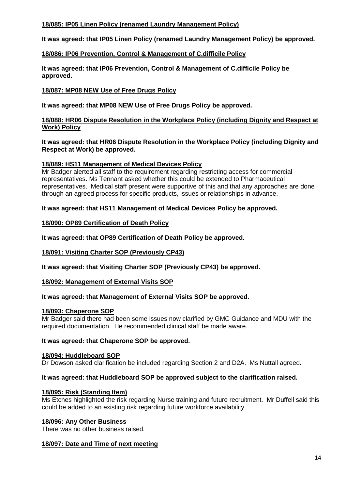# **18/085: IP05 Linen Policy (renamed Laundry Management Policy)**

**It was agreed: that IP05 Linen Policy (renamed Laundry Management Policy) be approved.**

# **18/086: IP06 Prevention, Control & Management of C.difficile Policy**

**It was agreed: that IP06 Prevention, Control & Management of C.difficile Policy be approved.**

# **18/087: MP08 NEW Use of Free Drugs Policy**

**It was agreed: that MP08 NEW Use of Free Drugs Policy be approved.**

# **18/088: HR06 Dispute Resolution in the Workplace Policy (including Dignity and Respect at Work) Policy**

**It was agreed: that HR06 Dispute Resolution in the Workplace Policy (including Dignity and Respect at Work) be approved.**

# **18/089: HS11 Management of Medical Devices Policy**

Mr Badger alerted all staff to the requirement regarding restricting access for commercial representatives. Ms Tennant asked whether this could be extended to Pharmaceutical representatives. Medical staff present were supportive of this and that any approaches are done through an agreed process for specific products, issues or relationships in advance.

**It was agreed: that HS11 Management of Medical Devices Policy be approved.**

# **18/090: OP89 Certification of Death Policy**

**It was agreed: that OP89 Certification of Death Policy be approved.**

# **18/091: Visiting Charter SOP (Previously CP43)**

**It was agreed: that Visiting Charter SOP (Previously CP43) be approved.**

# **18/092: Management of External Visits SOP**

# **It was agreed: that Management of External Visits SOP be approved.**

# **18/093: Chaperone SOP**

Mr Badger said there had been some issues now clarified by GMC Guidance and MDU with the required documentation. He recommended clinical staff be made aware.

# **It was agreed: that Chaperone SOP be approved.**

# **18/094: Huddleboard SOP**

Dr Dowson asked clarification be included regarding Section 2 and D2A. Ms Nuttall agreed.

# **It was agreed: that Huddleboard SOP be approved subject to the clarification raised.**

# **18/095: Risk (Standing Item)**

Ms Etches highlighted the risk regarding Nurse training and future recruitment. Mr Duffell said this could be added to an existing risk regarding future workforce availability.

# **18/096: Any Other Business**

There was no other business raised.

# **18/097: Date and Time of next meeting**